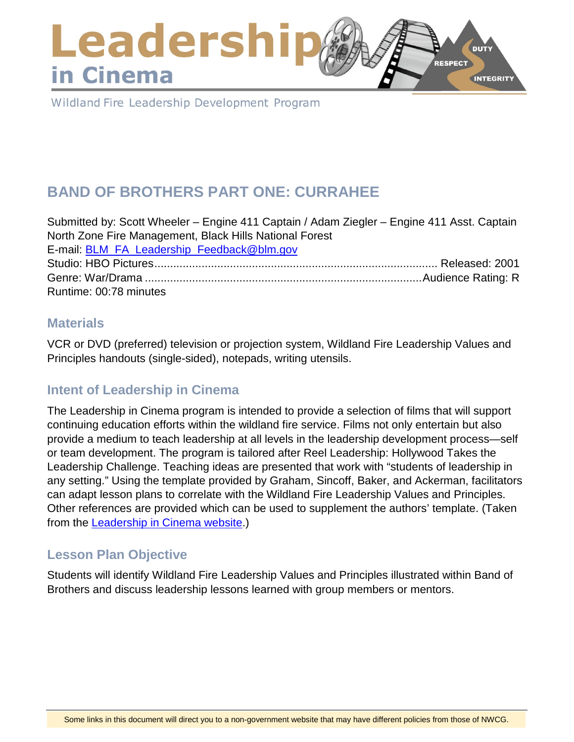### Leadershi **DUTY** RESPECT in Cinema **INTEGRITY**

Wildland Fire Leadership Development Program

# **BAND OF BROTHERS PART ONE: CURRAHEE**

Submitted by: Scott Wheeler – Engine 411 Captain / Adam Ziegler – Engine 411 Asst. Captain North Zone Fire Management, Black Hills National Forest E-mail: [BLM\\_FA\\_Leadership\\_Feedback@blm.gov](mailto:BLM_FA_Leadership_Feedback@blm.gov) Studio: HBO Pictures.......................................................................................... Released: 2001 Genre: War/Drama ........................................................................................Audience Rating: R Runtime: 00:78 minutes

#### **Materials**

VCR or DVD (preferred) television or projection system, Wildland Fire Leadership Values and Principles handouts (single-sided), notepads, writing utensils.

# **Intent of Leadership in Cinema**

The Leadership in Cinema program is intended to provide a selection of films that will support continuing education efforts within the wildland fire service. Films not only entertain but also provide a medium to teach leadership at all levels in the leadership development process—self or team development. The program is tailored after Reel Leadership: Hollywood Takes the Leadership Challenge. Teaching ideas are presented that work with "students of leadership in any setting." Using the template provided by Graham, Sincoff, Baker, and Ackerman, facilitators can adapt lesson plans to correlate with the Wildland Fire Leadership Values and Principles. Other references are provided which can be used to supplement the authors' template. (Taken from the [Leadership in Cinema website.](https://www.fireleadership.gov/))

### **Lesson Plan Objective**

Students will identify Wildland Fire Leadership Values and Principles illustrated within Band of Brothers and discuss leadership lessons learned with group members or mentors.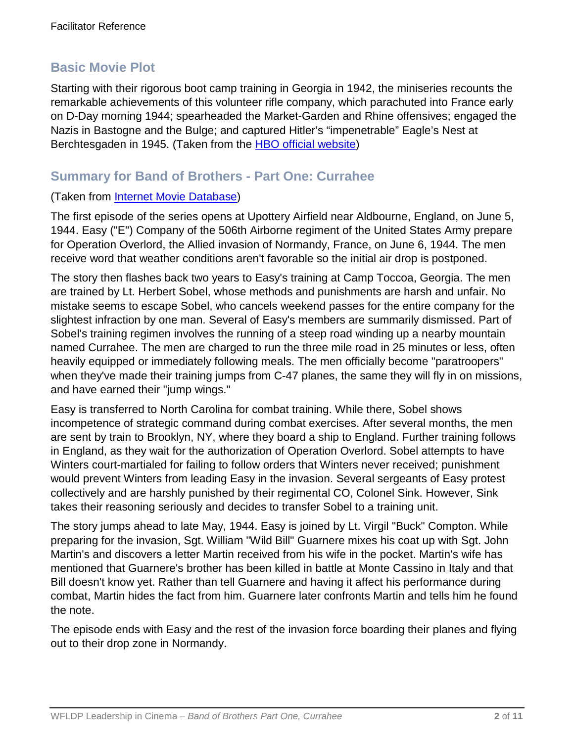### **Basic Movie Plot**

Starting with their rigorous boot camp training in Georgia in 1942, the miniseries recounts the remarkable achievements of this volunteer rifle company, which parachuted into France early on D-Day morning 1944; spearheaded the Market-Garden and Rhine offensives; engaged the Nazis in Bastogne and the Bulge; and captured Hitler's "impenetrable" Eagle's Nest at Berchtesgaden in 1945. (Taken from the [HBO official website\)](http://www.hbo.com/band/landing/currahee.html)

### **Summary for Band of Brothers - Part One: Currahee**

#### (Taken from [Internet Movie Database\)](http://www.imdb.com/title/tt1245384/synopsis)

The first episode of the series opens at Upottery Airfield near Aldbourne, England, on June 5, 1944. Easy ("E") Company of the 506th Airborne regiment of the United States Army prepare for Operation Overlord, the Allied invasion of Normandy, France, on June 6, 1944. The men receive word that weather conditions aren't favorable so the initial air drop is postponed.

The story then flashes back two years to Easy's training at Camp Toccoa, Georgia. The men are trained by Lt. Herbert Sobel, whose methods and punishments are harsh and unfair. No mistake seems to escape Sobel, who cancels weekend passes for the entire company for the slightest infraction by one man. Several of Easy's members are summarily dismissed. Part of Sobel's training regimen involves the running of a steep road winding up a nearby mountain named Currahee. The men are charged to run the three mile road in 25 minutes or less, often heavily equipped or immediately following meals. The men officially become "paratroopers" when they've made their training jumps from C-47 planes, the same they will fly in on missions, and have earned their "jump wings."

Easy is transferred to North Carolina for combat training. While there, Sobel shows incompetence of strategic command during combat exercises. After several months, the men are sent by train to Brooklyn, NY, where they board a ship to England. Further training follows in England, as they wait for the authorization of Operation Overlord. Sobel attempts to have Winters court-martialed for failing to follow orders that Winters never received; punishment would prevent Winters from leading Easy in the invasion. Several sergeants of Easy protest collectively and are harshly punished by their regimental CO, Colonel Sink. However, Sink takes their reasoning seriously and decides to transfer Sobel to a training unit.

The story jumps ahead to late May, 1944. Easy is joined by Lt. Virgil "Buck" Compton. While preparing for the invasion, Sgt. William "Wild Bill" Guarnere mixes his coat up with Sgt. John Martin's and discovers a letter Martin received from his wife in the pocket. Martin's wife has mentioned that Guarnere's brother has been killed in battle at Monte Cassino in Italy and that Bill doesn't know yet. Rather than tell Guarnere and having it affect his performance during combat, Martin hides the fact from him. Guarnere later confronts Martin and tells him he found the note.

The episode ends with Easy and the rest of the invasion force boarding their planes and flying out to their drop zone in Normandy.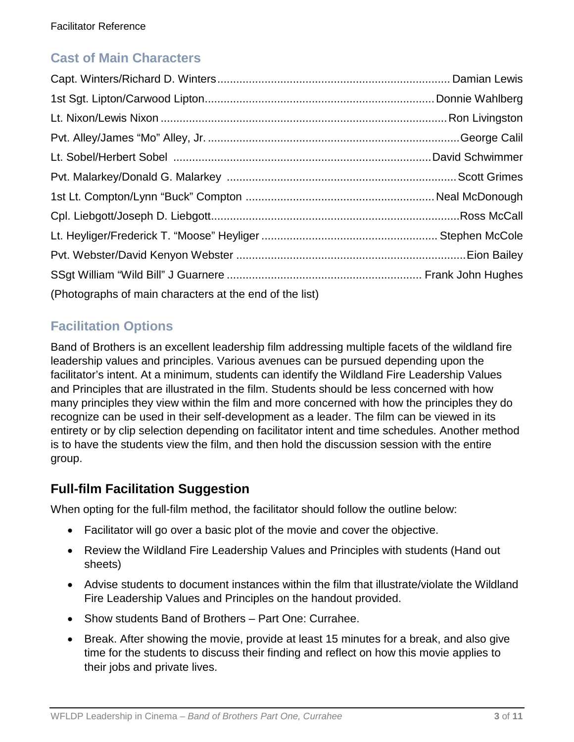# **Cast of Main Characters**

| (Photographs of main characters at the end of the list) |  |
|---------------------------------------------------------|--|

# **Facilitation Options**

Band of Brothers is an excellent leadership film addressing multiple facets of the wildland fire leadership values and principles. Various avenues can be pursued depending upon the facilitator's intent. At a minimum, students can identify the Wildland Fire Leadership Values and Principles that are illustrated in the film. Students should be less concerned with how many principles they view within the film and more concerned with how the principles they do recognize can be used in their self-development as a leader. The film can be viewed in its entirety or by clip selection depending on facilitator intent and time schedules. Another method is to have the students view the film, and then hold the discussion session with the entire group.

### **Full-film Facilitation Suggestion**

When opting for the full-film method, the facilitator should follow the outline below:

- Facilitator will go over a basic plot of the movie and cover the objective.
- Review the Wildland Fire Leadership Values and Principles with students (Hand out sheets)
- Advise students to document instances within the film that illustrate/violate the Wildland Fire Leadership Values and Principles on the handout provided.
- Show students Band of Brothers Part One: Currahee.
- Break. After showing the movie, provide at least 15 minutes for a break, and also give time for the students to discuss their finding and reflect on how this movie applies to their jobs and private lives.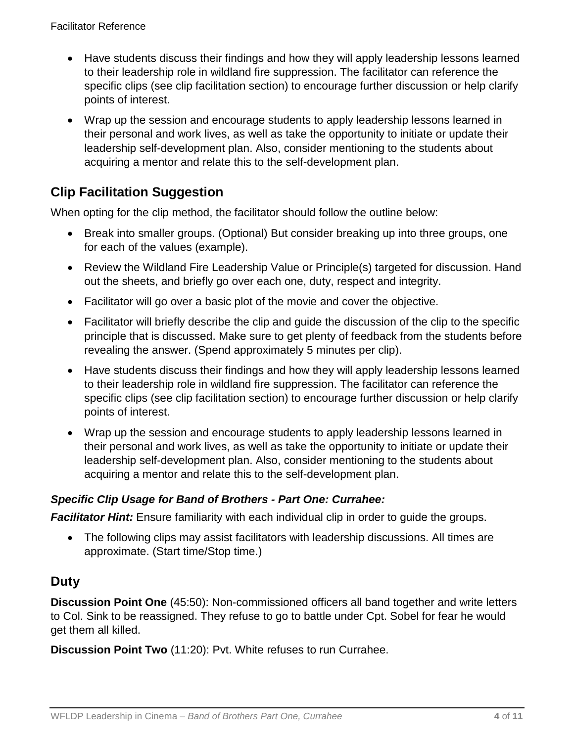- Have students discuss their findings and how they will apply leadership lessons learned to their leadership role in wildland fire suppression. The facilitator can reference the specific clips (see clip facilitation section) to encourage further discussion or help clarify points of interest.
- Wrap up the session and encourage students to apply leadership lessons learned in their personal and work lives, as well as take the opportunity to initiate or update their leadership self-development plan. Also, consider mentioning to the students about acquiring a mentor and relate this to the self-development plan.

# **Clip Facilitation Suggestion**

When opting for the clip method, the facilitator should follow the outline below:

- Break into smaller groups. (Optional) But consider breaking up into three groups, one for each of the values (example).
- Review the Wildland Fire Leadership Value or Principle(s) targeted for discussion. Hand out the sheets, and briefly go over each one, duty, respect and integrity.
- Facilitator will go over a basic plot of the movie and cover the objective.
- Facilitator will briefly describe the clip and guide the discussion of the clip to the specific principle that is discussed. Make sure to get plenty of feedback from the students before revealing the answer. (Spend approximately 5 minutes per clip).
- Have students discuss their findings and how they will apply leadership lessons learned to their leadership role in wildland fire suppression. The facilitator can reference the specific clips (see clip facilitation section) to encourage further discussion or help clarify points of interest.
- Wrap up the session and encourage students to apply leadership lessons learned in their personal and work lives, as well as take the opportunity to initiate or update their leadership self-development plan. Also, consider mentioning to the students about acquiring a mentor and relate this to the self-development plan.

#### *Specific Clip Usage for Band of Brothers - Part One: Currahee:*

*Facilitator Hint:* Ensure familiarity with each individual clip in order to guide the groups.

• The following clips may assist facilitators with leadership discussions. All times are approximate. (Start time/Stop time.)

# **Duty**

**Discussion Point One** (45:50): Non-commissioned officers all band together and write letters to Col. Sink to be reassigned. They refuse to go to battle under Cpt. Sobel for fear he would get them all killed.

**Discussion Point Two** (11:20): Pvt. White refuses to run Currahee.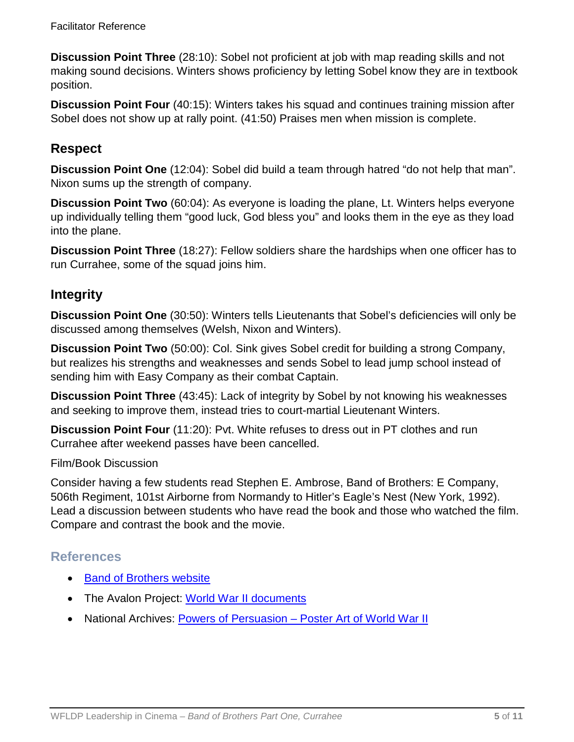**Discussion Point Three** (28:10): Sobel not proficient at job with map reading skills and not making sound decisions. Winters shows proficiency by letting Sobel know they are in textbook position.

**Discussion Point Four** (40:15): Winters takes his squad and continues training mission after Sobel does not show up at rally point. (41:50) Praises men when mission is complete.

### **Respect**

**Discussion Point One** (12:04): Sobel did build a team through hatred "do not help that man". Nixon sums up the strength of company.

**Discussion Point Two** (60:04): As everyone is loading the plane, Lt. Winters helps everyone up individually telling them "good luck, God bless you" and looks them in the eye as they load into the plane.

**Discussion Point Three** (18:27): Fellow soldiers share the hardships when one officer has to run Currahee, some of the squad joins him.

### **Integrity**

**Discussion Point One** (30:50): Winters tells Lieutenants that Sobel's deficiencies will only be discussed among themselves (Welsh, Nixon and Winters).

**Discussion Point Two** (50:00): Col. Sink gives Sobel credit for building a strong Company, but realizes his strengths and weaknesses and sends Sobel to lead jump school instead of sending him with Easy Company as their combat Captain.

**Discussion Point Three** (43:45): Lack of integrity by Sobel by not knowing his weaknesses and seeking to improve them, instead tries to court-martial Lieutenant Winters.

**Discussion Point Four** (11:20): Pvt. White refuses to dress out in PT clothes and run Currahee after weekend passes have been cancelled.

#### Film/Book Discussion

Consider having a few students read Stephen E. Ambrose, Band of Brothers: E Company, 506th Regiment, 101st Airborne from Normandy to Hitler's Eagle's Nest (New York, 1992). Lead a discussion between students who have read the book and those who watched the film. Compare and contrast the book and the movie.

### **References**

- [Band of Brothers website](http://www.hbo.com/band/landing/currahee.html)
- The Avalon Project: [World War II documents](http://avalon.law.yale.edu/subject_menus/wwii.asp)
- National Archives: Powers of Persuasion [Poster Art of World War II](https://www.archives.gov/education/lessons/wwii-posters)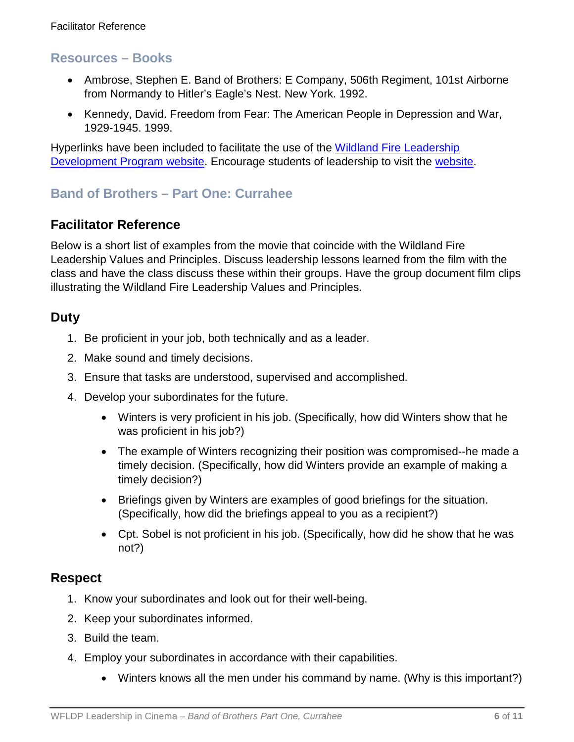### **Resources – Books**

- Ambrose, Stephen E. Band of Brothers: E Company, 506th Regiment, 101st Airborne from Normandy to Hitler's Eagle's Nest. New York. 1992.
- Kennedy, David. Freedom from Fear: The American People in Depression and War, 1929-1945. 1999.

Hyperlinks have been included to facilitate the use of the Wildland Fire Leadership [Development Program website.](https://www.fireleadership.gov/) Encourage students of leadership to visit the [website.](https://www.fireleadership.gov/)

# **Band of Brothers – Part One: Currahee**

### **Facilitator Reference**

Below is a short list of examples from the movie that coincide with the Wildland Fire Leadership Values and Principles. Discuss leadership lessons learned from the film with the class and have the class discuss these within their groups. Have the group document film clips illustrating the Wildland Fire Leadership Values and Principles.

### **Duty**

- 1. Be proficient in your job, both technically and as a leader.
- 2. Make sound and timely decisions.
- 3. Ensure that tasks are understood, supervised and accomplished.
- 4. Develop your subordinates for the future.
	- Winters is very proficient in his job. (Specifically, how did Winters show that he was proficient in his job?)
	- The example of Winters recognizing their position was compromised--he made a timely decision. (Specifically, how did Winters provide an example of making a timely decision?)
	- Briefings given by Winters are examples of good briefings for the situation. (Specifically, how did the briefings appeal to you as a recipient?)
	- Cpt. Sobel is not proficient in his job. (Specifically, how did he show that he was not?)

### **Respect**

- 1. Know your subordinates and look out for their well-being.
- 2. Keep your subordinates informed.
- 3. Build the team.
- 4. Employ your subordinates in accordance with their capabilities.
	- Winters knows all the men under his command by name. (Why is this important?)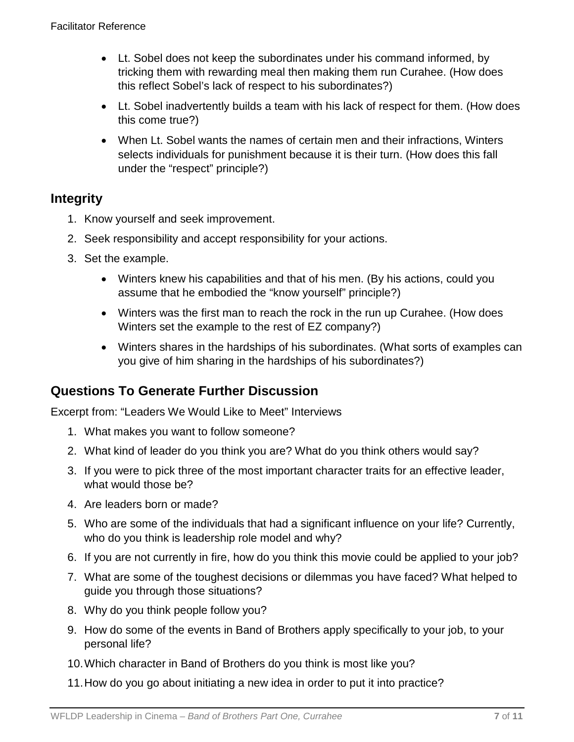- Lt. Sobel does not keep the subordinates under his command informed, by tricking them with rewarding meal then making them run Curahee. (How does this reflect Sobel's lack of respect to his subordinates?)
- Lt. Sobel inadvertently builds a team with his lack of respect for them. (How does this come true?)
- When Lt. Sobel wants the names of certain men and their infractions, Winters selects individuals for punishment because it is their turn. (How does this fall under the "respect" principle?)

### **Integrity**

- 1. Know yourself and seek improvement.
- 2. Seek responsibility and accept responsibility for your actions.
- 3. Set the example.
	- Winters knew his capabilities and that of his men. (By his actions, could you assume that he embodied the "know yourself" principle?)
	- Winters was the first man to reach the rock in the run up Curahee. (How does Winters set the example to the rest of EZ company?)
	- Winters shares in the hardships of his subordinates. (What sorts of examples can you give of him sharing in the hardships of his subordinates?)

# **Questions To Generate Further Discussion**

Excerpt from: "Leaders We Would Like to Meet" Interviews

- 1. What makes you want to follow someone?
- 2. What kind of leader do you think you are? What do you think others would say?
- 3. If you were to pick three of the most important character traits for an effective leader, what would those be?
- 4. Are leaders born or made?
- 5. Who are some of the individuals that had a significant influence on your life? Currently, who do you think is leadership role model and why?
- 6. If you are not currently in fire, how do you think this movie could be applied to your job?
- 7. What are some of the toughest decisions or dilemmas you have faced? What helped to guide you through those situations?
- 8. Why do you think people follow you?
- 9. How do some of the events in Band of Brothers apply specifically to your job, to your personal life?
- 10.Which character in Band of Brothers do you think is most like you?
- 11.How do you go about initiating a new idea in order to put it into practice?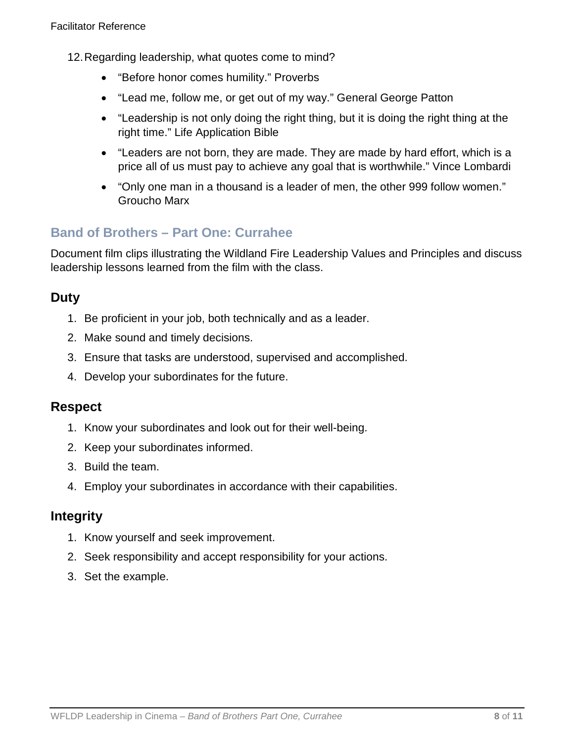- 12.Regarding leadership, what quotes come to mind?
	- "Before honor comes humility." Proverbs
	- "Lead me, follow me, or get out of my way." General George Patton
	- "Leadership is not only doing the right thing, but it is doing the right thing at the right time." Life Application Bible
	- "Leaders are not born, they are made. They are made by hard effort, which is a price all of us must pay to achieve any goal that is worthwhile." Vince Lombardi
	- "Only one man in a thousand is a leader of men, the other 999 follow women." Groucho Marx

# **Band of Brothers – Part One: Currahee**

Document film clips illustrating the Wildland Fire Leadership Values and Principles and discuss leadership lessons learned from the film with the class.

# **Duty**

- 1. Be proficient in your job, both technically and as a leader.
- 2. Make sound and timely decisions.
- 3. Ensure that tasks are understood, supervised and accomplished.
- 4. Develop your subordinates for the future.

#### **Respect**

- 1. Know your subordinates and look out for their well-being.
- 2. Keep your subordinates informed.
- 3. Build the team.
- 4. Employ your subordinates in accordance with their capabilities.

#### **Integrity**

- 1. Know yourself and seek improvement.
- 2. Seek responsibility and accept responsibility for your actions.
- 3. Set the example.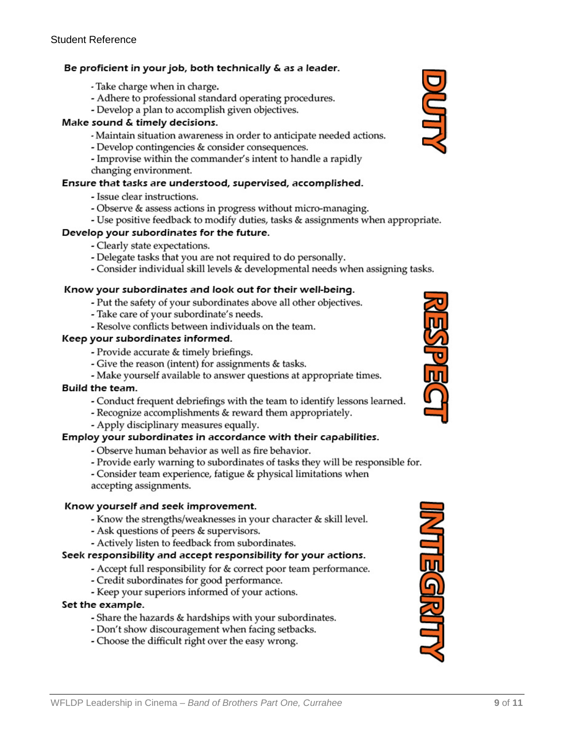#### Be proficient in your job, both technically & as a leader.

- Take charge when in charge.
- Adhere to professional standard operating procedures.
- Develop a plan to accomplish given objectives.

#### Make sound & timely decisions.

- Maintain situation awareness in order to anticipate needed actions.
- Develop contingencies & consider consequences.
- Improvise within the commander's intent to handle a rapidly
- changing environment.

#### Ensure that tasks are understood, supervised, accomplished.

- Issue clear instructions.
- Observe & assess actions in progress without micro-managing.
- Use positive feedback to modify duties, tasks & assignments when appropriate.

#### Develop your subordinates for the future.

- Clearly state expectations.
- Delegate tasks that you are not required to do personally.
- Consider individual skill levels & developmental needs when assigning tasks.

#### Know your subordinates and look out for their well-being.

- Put the safety of your subordinates above all other objectives.
- Take care of your subordinate's needs.
- Resolve conflicts between individuals on the team.

#### Keep your subordinates informed.

- Provide accurate & timely briefings.
- Give the reason (intent) for assignments & tasks.
- Make yourself available to answer questions at appropriate times.

#### **Build the team.**

- Conduct frequent debriefings with the team to identify lessons learned.
- Recognize accomplishments & reward them appropriately.
- Apply disciplinary measures equally.

#### Employ your subordinates in accordance with their capabilities.

- Observe human behavior as well as fire behavior.
- Provide early warning to subordinates of tasks they will be responsible for.
- Consider team experience, fatigue & physical limitations when
- accepting assignments.

#### Know yourself and seek improvement.

- Know the strengths/weaknesses in your character & skill level.
- Ask questions of peers & supervisors.
- Actively listen to feedback from subordinates.

#### Seek responsibility and accept responsibility for your actions.

- Accept full responsibility for & correct poor team performance.
- Credit subordinates for good performance.
- Keep your superiors informed of your actions.

#### Set the example.

- Share the hazards & hardships with your subordinates.
- Don't show discouragement when facing setbacks.
- Choose the difficult right over the easy wrong.





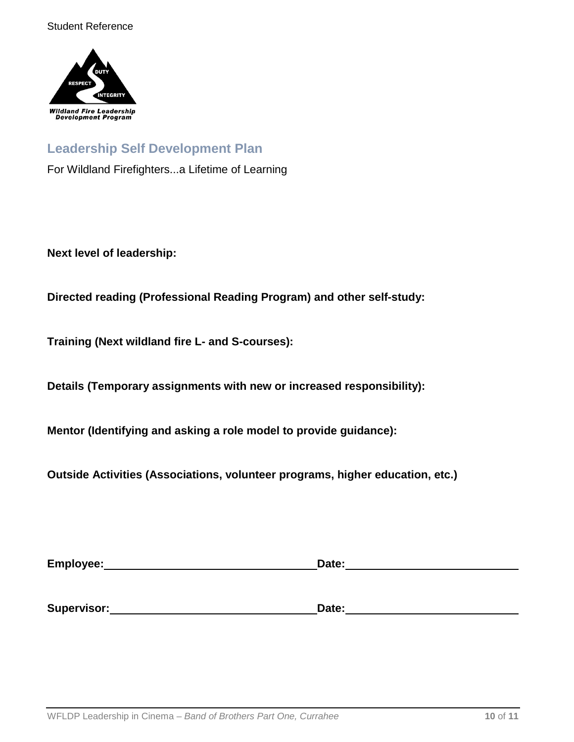

### **Leadership Self Development Plan**

For Wildland Firefighters...a Lifetime of Learning

**Next level of leadership:**

**Directed reading (Professional Reading Program) and other self-study:**

**Training (Next wildland fire L- and S-courses):**

**Details (Temporary assignments with new or increased responsibility):**

**Mentor (Identifying and asking a role model to provide guidance):**

**Outside Activities (Associations, volunteer programs, higher education, etc.)**

| Employee:   | Date: |
|-------------|-------|
|             |       |
| Supervisor: | Date: |